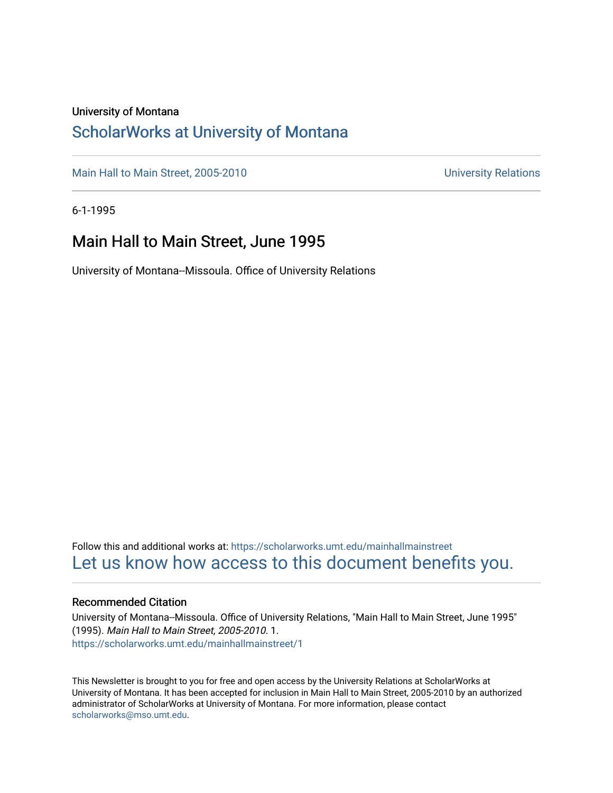#### University of Montana

### [ScholarWorks at University of Montana](https://scholarworks.umt.edu/)

[Main Hall to Main Street, 2005-2010](https://scholarworks.umt.edu/mainhallmainstreet) Main Hall to Main Street, 2005-2010

6-1-1995

### Main Hall to Main Street, June 1995

University of Montana--Missoula. Office of University Relations

Follow this and additional works at: [https://scholarworks.umt.edu/mainhallmainstreet](https://scholarworks.umt.edu/mainhallmainstreet?utm_source=scholarworks.umt.edu%2Fmainhallmainstreet%2F1&utm_medium=PDF&utm_campaign=PDFCoverPages) [Let us know how access to this document benefits you.](https://goo.gl/forms/s2rGfXOLzz71qgsB2) 

#### Recommended Citation

University of Montana--Missoula. Office of University Relations, "Main Hall to Main Street, June 1995" (1995). Main Hall to Main Street, 2005-2010. 1. [https://scholarworks.umt.edu/mainhallmainstreet/1](https://scholarworks.umt.edu/mainhallmainstreet/1?utm_source=scholarworks.umt.edu%2Fmainhallmainstreet%2F1&utm_medium=PDF&utm_campaign=PDFCoverPages) 

This Newsletter is brought to you for free and open access by the University Relations at ScholarWorks at University of Montana. It has been accepted for inclusion in Main Hall to Main Street, 2005-2010 by an authorized administrator of ScholarWorks at University of Montana. For more information, please contact [scholarworks@mso.umt.edu.](mailto:scholarworks@mso.umt.edu)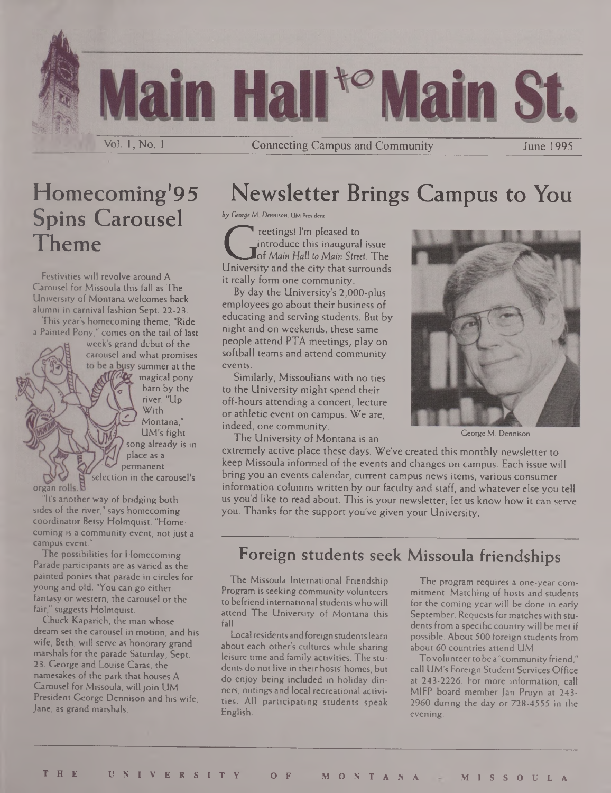Vol. 1, No. 1 **Connecting Campus and Community** June 1995

### Homecoming'95 Spins Carousel

Festivities will revolve around A Carousel for Missoula this fall as The University of Montana welcomes back alumni in carnival fashion Sept. 22-23.

Theme

This year's homecoming theme, "Ride a Painted Pony," comes on the tail of last

week's grand debut of the carousel and what promises to be a busy summer at the **W** magical pony bam by the river. "Up With Montana," UM's fight song already is in place as a permanent selection in the carousel's

organ rolls. B

"It's another way of bridging both sides of the river," says homecoming coordinator Betsy Holmquist. "Homecoming is a community event, not just a campus event."

The possibilities for Homecoming Parade participants are as varied as the painted ponies that parade in circles for young and old. "You can go either fantasy or western, the carousel or the fair," suggests Holmquist.

Chuck Kaparich, the man whose dream set the carousel in motion, and his wife, Beth, will serve as honorary grand marshals for the parade Saturday, Sept. 23. George and Louise Caras, the namesakes of the park that houses A Carousel for Missoula, will join UM President George Dennison and his wife, Jane, as grand marshals.

### Newsletter Brings Campus to You

**ty** *George M. Dennison,* **UM President**

G reetings! I'm pleased to introduce this inaugural issue of *Main Hall to Main Street.* The University and the city that surrounds it really form one community.

By day the University's 2,000-plus employees go about their business of educating and serving students. But by night and on weekends, these same people attend PTA meetings, play on softball teams and attend community events.

Similarly, Missoulians with no ties to the University might spend their off-hours attending a concert, lecture or athletic event on campus. We are, indeed, one community.

The University of Montana is an



George M. Dennison

extremely active place these days. We've created this monthly newsletter to keep Missoula informed of the events and changes on campus. Each issue will bring you an events calendar, current campus news items, various consumer information columns written by our faculty and staff, and whatever else you tell us you'd like to read about. This is your newsletter, let us know how it can serve you. Thanks for the support you've given your University.

### Foreign students seek Missoula friendships

The Missoula International Friendship Program is seeking community volunteers to befriend international students who will attend The University of Montana this fall.

Local residents and foreign students learn about each other's cultures while sharing leisure time and family activities. The students do not live in their hosts' homes, but do enjoy being included in holiday dinners, outings and local recreational activities. All participating students speak English.

The program requires a one-year commitment. Matching of hosts and students for the coming year will be done in early September. Requests formatches with students from a specific country will be met if possible. About 500 foreign students from about 60 countries attend UM.

Tovolunteerto be a "community friend," call UM's Foreign Student Services Office at 243-2226. For more information, call MIFP board member Jan Pruyn at 243- 2960 during the day or 728-4555 in the evening.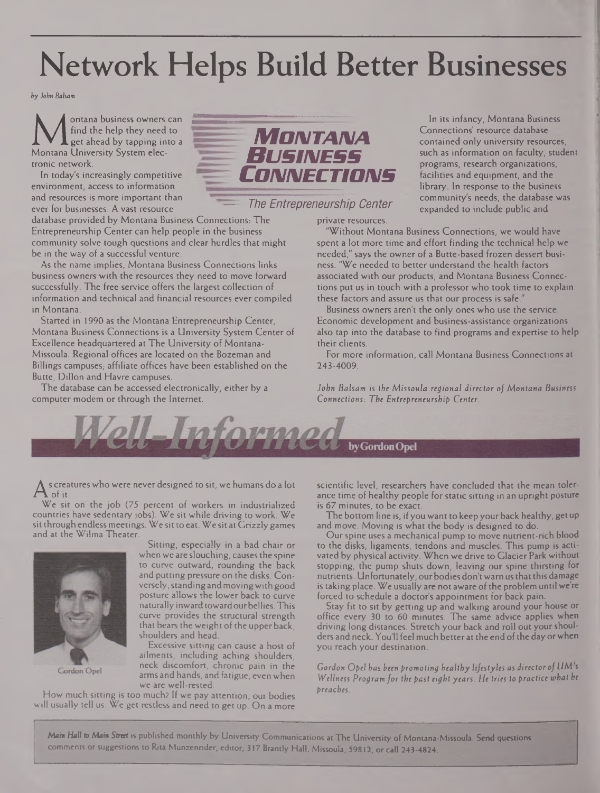## Network Helps Build Better Businesses

*by John Balsam*

**M** ontana business owners<br>Mentana University System elec-<br>Montana University System elecontana business owners can find the help they need to get ahead by tapping into a tronic network.

In today's increasingly competitive environment, access to information and resources is more important than ever for businesses. A vast resource

database provided by Montana Business Connections: The Entrepreneurship Center can help people in the business community solve tough questions and clear hurdles that might be in the way of a successful venture.

As the name implies, Montana Business Connections links business owners with the resources they need to move forward successfully. The free service offers the largest collection of information and technical and financial resources ever compiled in Montana.

Started in 1990 as the Montana Entrepreneurship Center, Montana Business Connections is a University System Center of Excellence headquartered at The University of Montana-Missoula. Regional offices are located on the Bozeman and Billings campuses; affiliate offices have been established on the Butte, Dillon and Havre campuses.

The database can be accessed electronically, either by a computer modem or through the Internet.



In its infancy, Montana Business Connections' resource database contained only university resources, such as information on faculty, student programs, research organizations, facilities and equipment, and the library. In response to the business community's needs, the database was expanded to include public and

private resources.

"Without Montana Business Connections, we would have spent a lot more time and effort finding the technical help we needed," says the owner of a Butte-based frozen dessert business. "We needed to better understand the health factors associated with our products, and Montana Business Connections put us in touch with a professor who took time to explain these factors and assure us that our process is safe."

Business owners aren't the only ones who use the service. Economic development and business-assistance organizations also tap into the database to find programs and expertise to help their clients.

For more information, call Montana Business Connections at 243-4009.

*John Balsam is the Missoula regional director of Montana Business Connections: The Entrepreneurship Center.*



s creatures who were never designed to sit, we humans do a lot

A of it.<br>We sit We sit on the job (75 percent of workers in industrialized countries have sedentary jobs). We sit while driving to work. We sit through endless meetings. We sit to eat. We sit at Grizzly games and at the Wilma Theater.



Gordon Opel

Sitting, especially in a bad chair or when we are slouching, causes the spine to curve outward, rounding the back and putting pressure on the disks. Conversely, standing and moving with good posture allows the lower back to curve naturally inward towardourbellies.This curve provides the structural strength that bears the weight of the upper back, shoulders and head.

Excessive sitting can cause a host of ailments, including aching shoulders, neck discomfort, chronic pain in the arms and hands, and fatigue, even when we are well-rested.

How much sitting is too much? If we pay attention, our bodies will usually tell us. We get restless and need to get up. On a more scientific level, researchers have concluded that the mean tolerance time of healthy people for static sitting in an upright posture is 67 minutes, to be exact.

The bottom line is, if you want to keep your back healthy, get up and move. Moving is what the body is designed to do.

Ourspine uses a mechanical pump to move nutrient-rich blood to the disks, ligaments, tendons and muscles. This pump is activated by physical activity. When we drive to Glacier Park without stopping, the pump shuts down, leaving our spine thirsting for nutrients. Unfortunately, our bodies don't warn us that this damage is taking place. We usually are not aware of the problem until we're forced to schedule a doctor's appointment for back pain.

Stay fit to sit by getting up and walking around your house or office every 30 to 60 minutes. The same advice applies when driving long distances. Stretch your back and roll out yourshoulders and neck. You'll feel much better at the end of the day or when you reach your destination.

*Gordon Opel has been promoting healthy lifestyles as director ofUM s Wellness Programfor the past eight years. He tries to practice tohat be preaches.*

*Main Hall to Main Street* is published monthly by University Communications at The University of Montana-Missoula. Send questions comments orsuggestions to Rita Munzenrider, editor, 317 Brandy Hall, Missoula, 59812, or call 243-4824.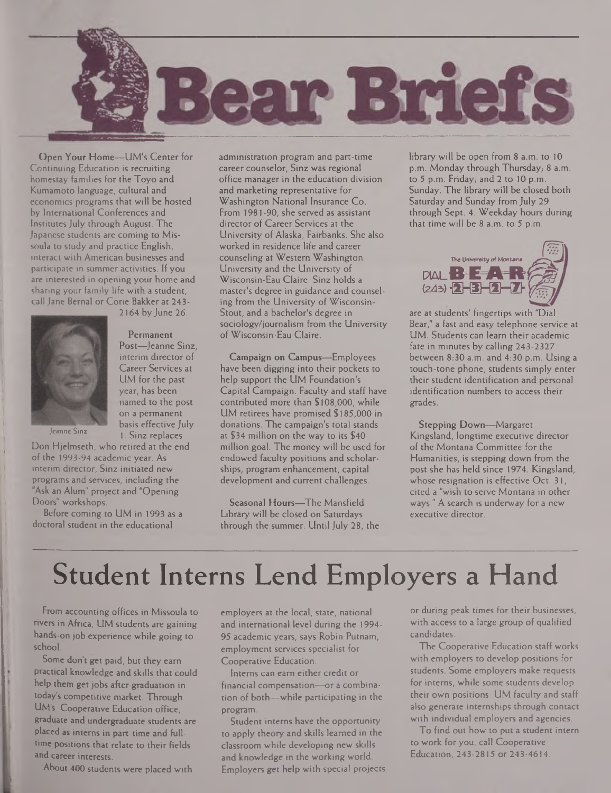

Open Your Home—UM's Center for Continuing Education is recruiting homestay families for the Toyo and Kumamoto language, cultural and economics programs that will be hosted by International Conferences and Institutes July through August. The Japanese students are coming to Missoula to study and practice English, interact with American businesses and participate in summer activities. If you are interested in opening your home and sharing your family life with a student, call Jane Bernal or Corie Bakker at 243-



2164 by June 26.

Permanent Post—Jeanne Sinz, interim director of Career Services at UM for the past year, has been named to the post on a permanent basis effective July 1. Sinz replaces

Jeanne Sinz

Don Hjelmseth, who retired at the end of the 1993-94 academic year. As interim director, Sinz initiated new programs and services, including the "Ask an Alum" project and "Opening Doors" workshops.

Before coming to UM in 1993 as a doctoral student in the educational

administration program and part-time career counselor, Sinz was regional office manager in the education division and marketing representative for Washington National Insurance Co. From 1981-90, she served as assistant director of Career Services at the University of Alaska, Fairbanks. She also worked in residence life and career counseling at Western Washington University and the University of Wisconsin-Eau Claire. Sinz holds a master's degree in guidance and counseling from the University of Wisconsin-Stout, and a bachelor's degree in sociology/journalism from the University of Wisconsin-Eau Claire.

Campaign on Campus—Employees have been digging into their pockets to help support the UM Foundation's Capital Campaign. Faculty and staff have contributed more than \$108,000, while UM retirees have promised \$185,000 in donations. The campaign's total stands at \$34 million on the way to its \$40 million goal. The money will be used for endowed faculty positions and scholarships, program enhancement, capital development and current challenges.

Seasonal Hours—The Mansfield Library will be closed on Saturdays through the summer. Until July 28, the library will be open from 8 a.m. to 10 p.m. Monday through Thursday, 8 a.m. to  $5$  p.m. Friday, and  $2$  to 10 p.m. Sunday. The library will be closed both Saturday and Sunday from July 29 through Sept. 4. Weekday hours during that time will be 8 a.m. to 5 p.m.



are at students' fingertips with "Dial Bear," a fast and easy telephone service at UM. Students can learn their academic fate in minutes by calling 243-2327 between  $8:30$  a.m. and  $4:30$  p.m. Using a touch-tone phone, students simply enter their student identification and personal identification numbers to access their grades.

Stepping Down—Margaret Kingsland, longtime executive director of the Montana Committee for the Humanities, is stepping down from the post she has held since 1974. Kingsland, whose resignation is effective Oct. 31, cited a "wish to serve Montana in other ways." A search is underway for a new executive director.

## Student Interns Lend Employers a Hand

From accounting offices in Missoula to rivers in Africa, UM students are gaining hands-on job experience while going to school.

Some don't get paid, but they earn practical knowledge and skills that could help them get jobs after graduation in today's competitive market. Through UM's Cooperative Education office, graduate and undergraduate students are placed as interns in part-time and fulltime positions that relate to their fields and career interests.

About 400 students were placed with

employers at the local, state, national and international level during the 1994- 95 academic years, says Robin Putnam, employment services specialist for Cooperative Education.

Interns can earn either credit or financial compensation—or a combination of both—while participating in the program.

Student interns have the opportunity to apply theory and skills learned in the classroom while developing new skills and knowledge in the working world. Employers get help with special projects or during peak times for their businesses, with access to a large group of qualified candidates.

The Cooperative Education staff works with employers to develop positions for students. Some employers make requests for interns, while some students develop their own positions. UM faculty and staff also generate internships through contact with individual employers and agencies.

To find out how to put a student intern to work for you, call Cooperative Education, 243-2815 or 243-4614.